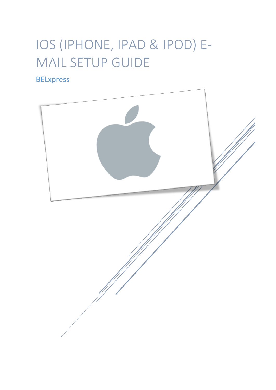# IOS (IPHONE, IPAD & IPOD) E-MAIL SETUP GUIDE

# BELxpress

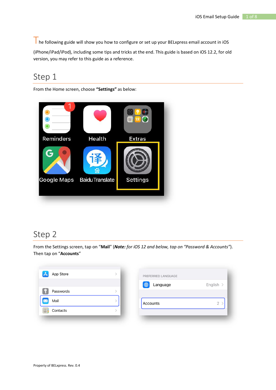The following guide will show you how to configure or set up your BELxpress email account in iOS (iPhone/iPad/iPod), including some tips and tricks at the end. This guide is based on iOS 12.2, for old version, you may refer to this guide as a reference.

#### Step 1

From the Home screen, choose **"Settings"** as below:



#### Step 2

From the Settings screen, tap on "**Mail**" (*Note: for iOS 12 and below, tap on "Password & Accounts"*). Then tap on "**Accounts**"

| $\mathbf{A}$<br>App Store | PREFERRED LANGUAGE |           |
|---------------------------|--------------------|-----------|
|                           | 4<br>Language      | English > |
| Passwords                 |                    |           |
| Mail                      | Accounts           |           |
| Contacts                  |                    |           |
|                           |                    |           |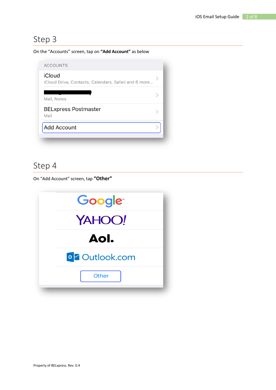#### On the "Accounts" screen, tap on **"Add Account"** as below

| iCloud                                               |  |
|------------------------------------------------------|--|
| iCloud Drive, Contacts, Calendars, Safari and 6 more |  |
| Mail, Notes                                          |  |
| <b>BELxpress Postmaster</b><br>Mail                  |  |
| <b>Add Account</b>                                   |  |

#### Step 4

On "Add Account" screen, tap **"Other"**

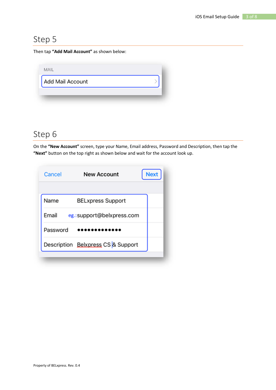Then tap **"Add Mail Account"** as shown below:

| <b>MAIL</b>             |  |
|-------------------------|--|
| <b>Add Mail Account</b> |  |
|                         |  |
|                         |  |

# Step 6

On the **"New Account"** screen, type your Name, Email address, Password and Description, then tap the **"Next"** button on the top right as shown below and wait for the account look up.

| Cancel   | <b>New Account</b>                 | <b>Next</b> |
|----------|------------------------------------|-------------|
|          |                                    |             |
| Name     | <b>BELxpress Support</b>           |             |
| Email    | eg.:support@belxpress.com          |             |
| Password |                                    |             |
|          | Description Belxpress CS & Support |             |
|          |                                    |             |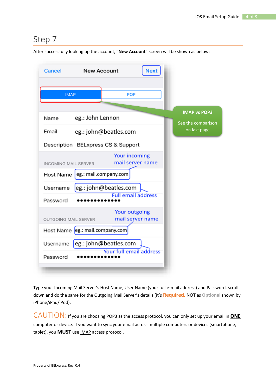After successfully looking up the account, **"New Account"** screen will be shown as below:

| Cancel                      | <b>New Account</b><br>Next               |                                    |
|-----------------------------|------------------------------------------|------------------------------------|
| <b>IMAP</b>                 | <b>POP</b>                               |                                    |
| Name                        | eg.: John Lennon                         | <b>IMAP vs POP3</b>                |
| Email                       | eg.: john@beatles.com                    | See the comparison<br>on last page |
|                             | Description BELxpress CS & Support       |                                    |
| <b>INCOMING MAIL SERVER</b> | <b>Your incoming</b><br>mail server name |                                    |
| Host Name                   | eg.: mail.company.com                    |                                    |
| Username                    | eg.: john@beatles.com                    |                                    |
| Password                    | <b>Full email address</b>                |                                    |
| OUTGOING MAIL SERVER        | <b>Your outgoing</b><br>mail server name |                                    |
|                             | Host Name eg.: mail.company.com          |                                    |
| Username                    | eg.: john@beatles.com                    |                                    |
| Password                    | Your full email address                  |                                    |

Type your Incoming Mail Server's Host Name, User Name (your full e-mail address) and Password, scroll down and do the same for the Outgoing Mail Server's details (it's **Required***.* NOT as **Optional** shown by iPhone/iPad/iPod).

CAUTION: If you are choosing POP3 as the access protocol, you can only set up your email in **ONE** computer or device. If you want to sync your email across multiple computers or devices (smartphone, tablet), you **MUST** use IMAP access protocol.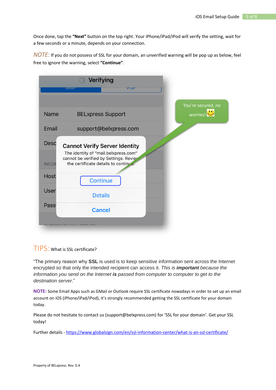Once done, tap the **"Next"** button on the top right. Your iPhone/iPad/iPod will verify the setting, wait for a few seconds or a minute, depends on your connection.

*NOTE:* If you do not possess of SSL for your domain, an unverified warning will be pop up as below, feel free to ignore the warning, select **"Continue"**.

|                                     | <b>Verifying</b><br>PUP<br><b>IIVIAP</b>                                                                                                                       |                                |
|-------------------------------------|----------------------------------------------------------------------------------------------------------------------------------------------------------------|--------------------------------|
|                                     |                                                                                                                                                                |                                |
| <b>Name</b>                         | <b>BELxpress Support</b>                                                                                                                                       | You're secured, no<br>worries! |
| Email                               | support@belxpress.com                                                                                                                                          |                                |
| <b>Desc</b><br><b>INCON</b><br>Host | <b>Cannot Verify Server Identity</b><br>The identity of "mail.belxpress.com"<br>cannot be verified by Settings. Reviev<br>the certificate details to continue. |                                |
|                                     | Continue                                                                                                                                                       |                                |
| <b>User</b>                         | <b>Details</b>                                                                                                                                                 |                                |
| Pass <sup>®</sup>                   | <b>Cancel</b>                                                                                                                                                  |                                |
|                                     |                                                                                                                                                                |                                |

TIPS: What is SSL certificate?

"The primary reason why **SSL** is used is to keep sensitive information sent across the Internet encrypted so that only the intended recipient can access it. *This is important because the information you send on the Internet is passed from computer to computer to get to the destination server*."

**NOTE:** Some Email Apps such as GMail or Outlook require SSL certificate nowadays in order to set up an email account on iOS (iPhone/iPad/iPod), it's strongly recommended getting the SSL certificate for your domain today.

Please do not hesitate to contact us (support@belxpress.com) for 'SSL for your domain'. Get your SSL today!

Further details - <https://www.globalsign.com/en/ssl-information-center/what-is-an-ssl-certificate/>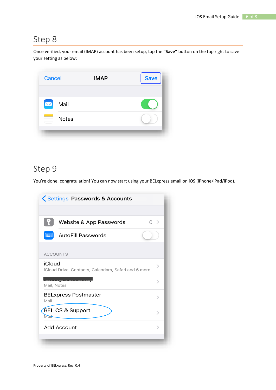Once verified, your email (IMAP) account has been setup, tap the **"Save"** button on the top right to save your setting as below:



# Step 9

You're done, congratulation! You can now start using your BELxpress email on iOS (iPhone/iPad/iPod).

| Settings Passwords & Accounts                                  |                           |   |  |
|----------------------------------------------------------------|---------------------------|---|--|
|                                                                |                           |   |  |
|                                                                | Website & App Passwords   | → |  |
| <b>Hillie</b>                                                  | <b>AutoFill Passwords</b> |   |  |
| <b>ACCOUNTS</b>                                                |                           |   |  |
| iCloud<br>iCloud Drive, Contacts, Calendars, Safari and 6 more |                           |   |  |
| Mail, Notes                                                    |                           |   |  |
| <b>BELxpress Postmaster</b><br>ゝ<br>Mail                       |                           |   |  |
| <b>BEL CS &amp; Support</b><br><b>Mail</b>                     |                           |   |  |
| Add Account                                                    |                           |   |  |
|                                                                |                           |   |  |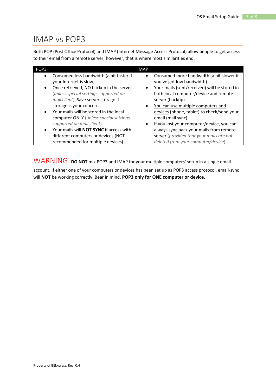#### IMAP vs POP3

Both POP (Post Office Protocol) and IMAP (Internet Message Access Protocol) allow people to get access to their email from a remote server; however, that is where most similarities end.

| POP <sub>3</sub>       |                                                                                                                                                        | <b>IMAP</b>            |                                                                                                                                                                |
|------------------------|--------------------------------------------------------------------------------------------------------------------------------------------------------|------------------------|----------------------------------------------------------------------------------------------------------------------------------------------------------------|
| $\bullet$<br>$\bullet$ | Consumed less bandwidth (a bit faster if<br>your Internet is slow)<br>Once retrieved, NO backup in the server<br>(unless special settings supported on | $\bullet$<br>$\bullet$ | Consumed more bandwidth (a bit slower if<br>you've got low bandwidth)<br>Your mails (sent/received) will be stored in<br>both local computer/device and remote |
|                        | mail client). Save server storage if                                                                                                                   |                        | server (backup)                                                                                                                                                |
|                        | storage is your concern.                                                                                                                               | $\bullet$              | You can use multiple computers and                                                                                                                             |
| $\bullet$              | Your mails will be stored in the local<br>computer ONLY (unless special settings                                                                       |                        | devices (phone, tablet) to check/send your<br>email (mail sync)                                                                                                |
|                        | supported on mail client)                                                                                                                              | $\bullet$              | If you lost your computer/device, you can                                                                                                                      |
| $\bullet$              | Your mails will NOT SYNC if access with                                                                                                                |                        | always sync back your mails from remote                                                                                                                        |
|                        | different computers or devices (NOT                                                                                                                    |                        | server (provided that your mails are not                                                                                                                       |
|                        | recommended for multiple devices)                                                                                                                      |                        | deleted from your computer/device)                                                                                                                             |

WARNING: **DO NOT** mix POP3 and IMAP for your multiple computers' setup in a single email

account. If either one of your computers or devices has been set up as POP3 access protocol, email-sync will **NOT** be working correctly. Bear in mind, **POP3 only for ONE computer or device**.